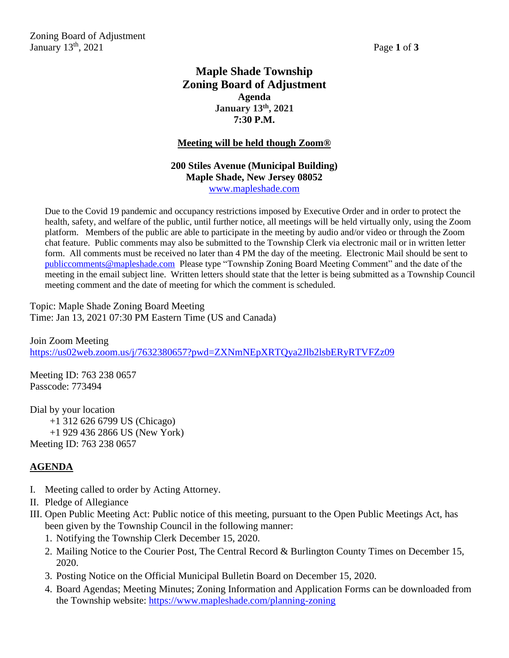Zoning Board of Adjustment January  $13^{th}$ ,  $2021$  Page 1 of 3

## **Maple Shade Township Zoning Board of Adjustment Agenda January 13th, 2021 7:30 P.M.**

#### **Meeting will be held though Zoom®**

## **200 Stiles Avenue (Municipal Building) Maple Shade, New Jersey 08052** [www.mapleshade.com](http://www.mapleshade.com/)

Due to the Covid 19 pandemic and occupancy restrictions imposed by Executive Order and in order to protect the health, safety, and welfare of the public, until further notice, all meetings will be held virtually only, using the Zoom platform. Members of the public are able to participate in the meeting by audio and/or video or through the Zoom chat feature. Public comments may also be submitted to the Township Clerk via electronic mail or in written letter form. All comments must be received no later than 4 PM the day of the meeting. Electronic Mail should be sent to [publiccomments@mapleshade.com](mailto:publiccomments@mapleshade.com) Please type "Township Zoning Board Meeting Comment" and the date of the meeting in the email subject line. Written letters should state that the letter is being submitted as a Township Council meeting comment and the date of meeting for which the comment is scheduled.

Topic: Maple Shade Zoning Board Meeting Time: Jan 13, 2021 07:30 PM Eastern Time (US and Canada)

Join Zoom Meeting <https://us02web.zoom.us/j/7632380657?pwd=ZXNmNEpXRTQya2Jlb2lsbERyRTVFZz09>

Meeting ID: 763 238 0657 Passcode: 773494

Dial by your location +1 312 626 6799 US (Chicago) +1 929 436 2866 US (New York) Meeting ID: 763 238 0657

## **AGENDA**

- I. Meeting called to order by Acting Attorney.
- II. Pledge of Allegiance
- III. Open Public Meeting Act: Public notice of this meeting, pursuant to the Open Public Meetings Act, has been given by the Township Council in the following manner:
	- 1. Notifying the Township Clerk December 15, 2020.
	- 2. Mailing Notice to the Courier Post, The Central Record & Burlington County Times on December 15, 2020.
	- 3. Posting Notice on the Official Municipal Bulletin Board on December 15, 2020.
	- 4. Board Agendas; Meeting Minutes; Zoning Information and Application Forms can be downloaded from the Township website:<https://www.mapleshade.com/planning-zoning>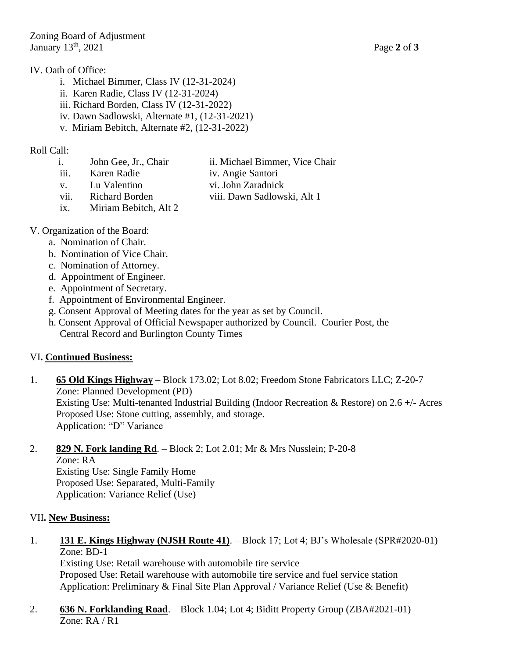#### IV. Oath of Office:

- i. Michael Bimmer, Class IV (12-31-2024)
- ii. Karen Radie, Class IV (12-31-2024)
- iii. Richard Borden, Class IV (12-31-2022)
- iv. Dawn Sadlowski, Alternate #1, (12-31-2021)
- v. Miriam Bebitch, Alternate #2, (12-31-2022)

## Roll Call:

- i. John Gee, Jr., Chair ii. Michael Bimmer, Vice Chair
- iii. Karen Radie iv. Angie Santori
- v. Lu Valentino vi. John Zaradnick
- vii. Richard Borden viii. Dawn Sadlowski, Alt 1
- ix. Miriam Bebitch, Alt 2

## V. Organization of the Board:

- a. Nomination of Chair.
- b. Nomination of Vice Chair.
- c. Nomination of Attorney.
- d. Appointment of Engineer.
- e. Appointment of Secretary.
- f. Appointment of Environmental Engineer.
- g. Consent Approval of Meeting dates for the year as set by Council.
- h. Consent Approval of Official Newspaper authorized by Council. Courier Post, the Central Record and Burlington County Times

## VI**. Continued Business:**

1. **65 Old Kings Highway** – Block 173.02; Lot 8.02; Freedom Stone Fabricators LLC; Z-20-7 Zone: Planned Development (PD) Existing Use: Multi-tenanted Industrial Building (Indoor Recreation & Restore) on 2.6 +/- Acres Proposed Use: Stone cutting, assembly, and storage. Application: "D" Variance

## 2. **829 N. Fork landing Rd**. – Block 2; Lot 2.01; Mr & Mrs Nusslein; P-20-8

Zone: RA Existing Use: Single Family Home Proposed Use: Separated, Multi-Family Application: Variance Relief (Use)

## VII**. New Business:**

1. **131 E. Kings Highway (NJSH Route 41)**. – Block 17; Lot 4; BJ's Wholesale (SPR#2020-01) Zone: BD-1

Existing Use: Retail warehouse with automobile tire service Proposed Use: Retail warehouse with automobile tire service and fuel service station Application: Preliminary & Final Site Plan Approval / Variance Relief (Use & Benefit)

2. **636 N. Forklanding Road**. – Block 1.04; Lot 4; Biditt Property Group (ZBA#2021-01) Zone: RA / R1